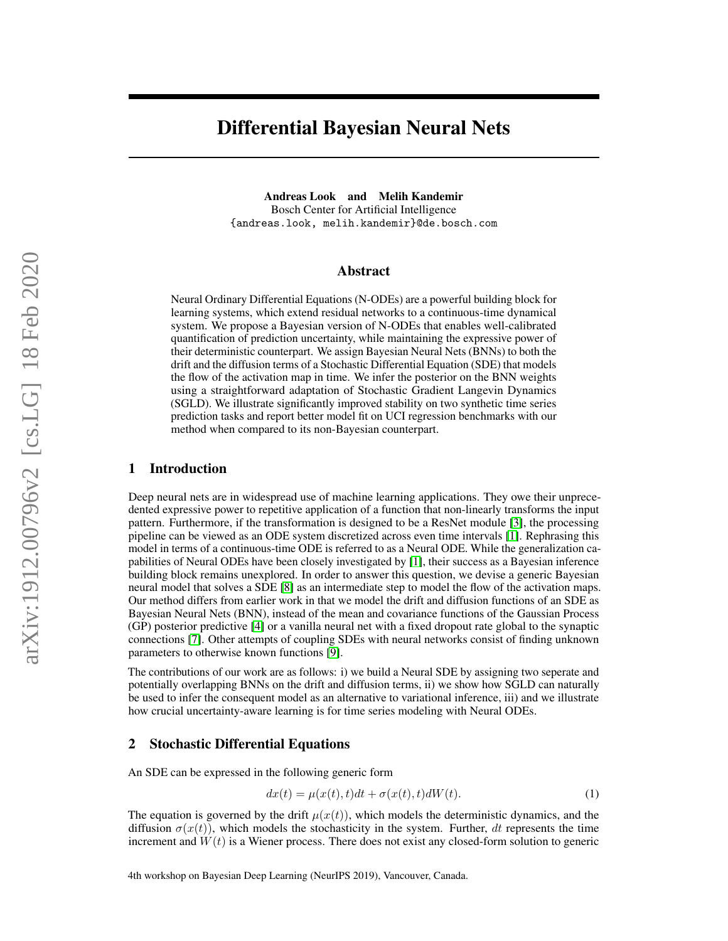# Differential Bayesian Neural Nets

Andreas Look and Melih Kandemir Bosch Center for Artificial Intelligence {andreas.look, melih.kandemir}@de.bosch.com

#### Abstract

Neural Ordinary Differential Equations (N-ODEs) are a powerful building block for learning systems, which extend residual networks to a continuous-time dynamical system. We propose a Bayesian version of N-ODEs that enables well-calibrated quantification of prediction uncertainty, while maintaining the expressive power of their deterministic counterpart. We assign Bayesian Neural Nets (BNNs) to both the drift and the diffusion terms of a Stochastic Differential Equation (SDE) that models the flow of the activation map in time. We infer the posterior on the BNN weights using a straightforward adaptation of Stochastic Gradient Langevin Dynamics (SGLD). We illustrate significantly improved stability on two synthetic time series prediction tasks and report better model fit on UCI regression benchmarks with our method when compared to its non-Bayesian counterpart.

#### 1 Introduction

Deep neural nets are in widespread use of machine learning applications. They owe their unprecedented expressive power to repetitive application of a function that non-linearly transforms the input pattern. Furthermore, if the transformation is designed to be a ResNet module [\[3\]](#page-3-0), the processing pipeline can be viewed as an ODE system discretized across even time intervals [\[1\]](#page-3-1). Rephrasing this model in terms of a continuous-time ODE is referred to as a Neural ODE. While the generalization capabilities of Neural ODEs have been closely investigated by [\[1\]](#page-3-1), their success as a Bayesian inference building block remains unexplored. In order to answer this question, we devise a generic Bayesian neural model that solves a SDE [\[8\]](#page-3-2) as an intermediate step to model the flow of the activation maps. Our method differs from earlier work in that we model the drift and diffusion functions of an SDE as Bayesian Neural Nets (BNN), instead of the mean and covariance functions of the Gaussian Process (GP) posterior predictive [\[4\]](#page-3-3) or a vanilla neural net with a fixed dropout rate global to the synaptic connections [\[7\]](#page-3-4). Other attempts of coupling SDEs with neural networks consist of finding unknown parameters to otherwise known functions [\[9\]](#page-3-5).

The contributions of our work are as follows: i) we build a Neural SDE by assigning two seperate and potentially overlapping BNNs on the drift and diffusion terms, ii) we show how SGLD can naturally be used to infer the consequent model as an alternative to variational inference, iii) and we illustrate how crucial uncertainty-aware learning is for time series modeling with Neural ODEs.

#### 2 Stochastic Differential Equations

An SDE can be expressed in the following generic form

$$
dx(t) = \mu(x(t), t)dt + \sigma(x(t), t)dW(t).
$$
\n(1)

The equation is governed by the drift  $\mu(x(t))$ , which models the deterministic dynamics, and the diffusion  $\sigma(x(t))$ , which models the stochasticity in the system. Further, dt represents the time increment and  $W(t)$  is a Wiener process. There does not exist any closed-form solution to generic

4th workshop on Bayesian Deep Learning (NeurIPS 2019), Vancouver, Canada.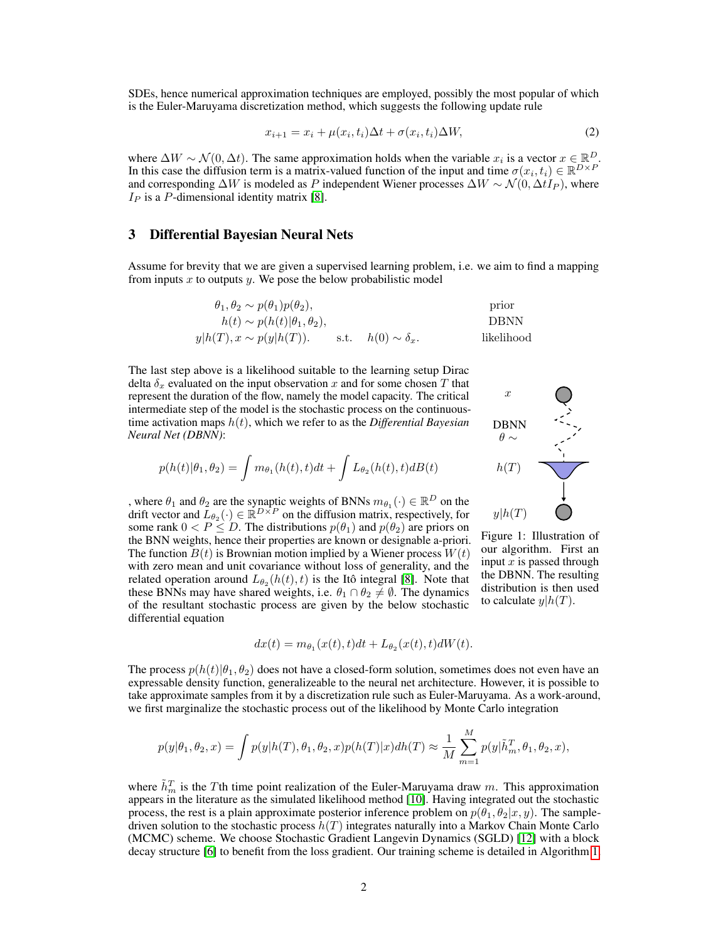SDEs, hence numerical approximation techniques are employed, possibly the most popular of which is the Euler-Maruyama discretization method, which suggests the following update rule

$$
x_{i+1} = x_i + \mu(x_i, t_i)\Delta t + \sigma(x_i, t_i)\Delta W,\tag{2}
$$

where  $\Delta W \sim \mathcal{N}(0, \Delta t)$ . The same approximation holds when the variable  $x_i$  is a vector  $x \in \mathbb{R}^D$ . In this case the diffusion term is a matrix-valued function of the input and time  $\sigma(x_i, t_i) \in \mathbb{R}^{D \times P}$ and corresponding  $\Delta W$  is modeled as P independent Wiener processes  $\Delta W \sim \mathcal{N}(0, \Delta t I_P)$ , where  $I_P$  is a P-dimensional identity matrix [\[8\]](#page-3-2).

#### 3 Differential Bayesian Neural Nets

Assume for brevity that we are given a supervised learning problem, i.e. we aim to find a mapping from inputs x to outputs y. We pose the below probabilistic model

$$
\theta_1, \theta_2 \sim p(\theta_1)p(\theta_2),
$$
 prior  
\n
$$
h(t) \sim p(h(t)|\theta_1, \theta_2),
$$
 DBNN  
\n
$$
y|h(T), x \sim p(y|h(T)).
$$
 s.t.  $h(0) \sim \delta_x$ . likelihood

The last step above is a likelihood suitable to the learning setup Dirac delta  $\delta_x$  evaluated on the input observation x and for some chosen T that represent the duration of the flow, namely the model capacity. The critical intermediate step of the model is the stochastic process on the continuoustime activation maps h(t), which we refer to as the *Differential Bayesian Neural Net (DBNN)*:

$$
p(h(t)|\theta_1, \theta_2) = \int m_{\theta_1}(h(t), t)dt + \int L_{\theta_2}(h(t), t)dB(t)
$$

, where  $\theta_1$  and  $\theta_2$  are the synaptic weights of BNNs  $m_{\theta_1}(\cdot) \in \mathbb{R}^D$  on the drift vector and  $\bar{L}_{\theta_2}(\cdot) \in \mathbb{R}^{D \times P}$  on the diffusion matrix, respectively, for some rank  $0 < P \le D$ . The distributions  $p(\theta_1)$  and  $p(\theta_2)$  are priors on the BNN weights, hence their properties are known or designable a-priori. The function  $B(t)$  is Brownian motion implied by a Wiener process  $W(t)$ with zero mean and unit covariance without loss of generality, and the related operation around  $L_{\theta_2}(h(t), t)$  is the Itô integral [\[8\]](#page-3-2). Note that these BNNs may have shared weights, i.e.  $\theta_1 \cap \theta_2 \neq \emptyset$ . The dynamics of the resultant stochastic process are given by the below stochastic differential equation

$$
dx(t) = m_{\theta_1}(x(t), t)dt + L_{\theta_2}(x(t), t)dW(t).
$$

The process  $p(h(t)|\theta_1, \theta_2)$  does not have a closed-form solution, sometimes does not even have an expressable density function, generalizeable to the neural net architecture. However, it is possible to take approximate samples from it by a discretization rule such as Euler-Maruyama. As a work-around, we first marginalize the stochastic process out of the likelihood by Monte Carlo integration

$$
p(y|\theta_1,\theta_2,x)=\int p(y|h(T),\theta_1,\theta_2,x)p(h(T)|x)dh(T)\approx \frac{1}{M}\sum_{m=1}^M p(y|\tilde{h}_m^T,\theta_1,\theta_2,x),
$$

where  $\tilde{h}_m^T$  is the Tth time point realization of the Euler-Maruyama draw m. This approximation appears in the literature as the simulated likelihood method [\[10\]](#page-3-6). Having integrated out the stochastic process, the rest is a plain approximate posterior inference problem on  $p(\theta_1, \theta_2 | x, y)$ . The sampledriven solution to the stochastic process  $h(T)$  integrates naturally into a Markov Chain Monte Carlo (MCMC) scheme. We choose Stochastic Gradient Langevin Dynamics (SGLD) [\[12\]](#page-3-7) with a block decay structure [\[6\]](#page-3-8) to benefit from the loss gradient. Our training scheme is detailed in Algorithm [1.](#page-2-0)



Figure 1: Illustration of our algorithm. First an input  $x$  is passed through the DBNN. The resulting distribution is then used to calculate  $y|h(T)$ .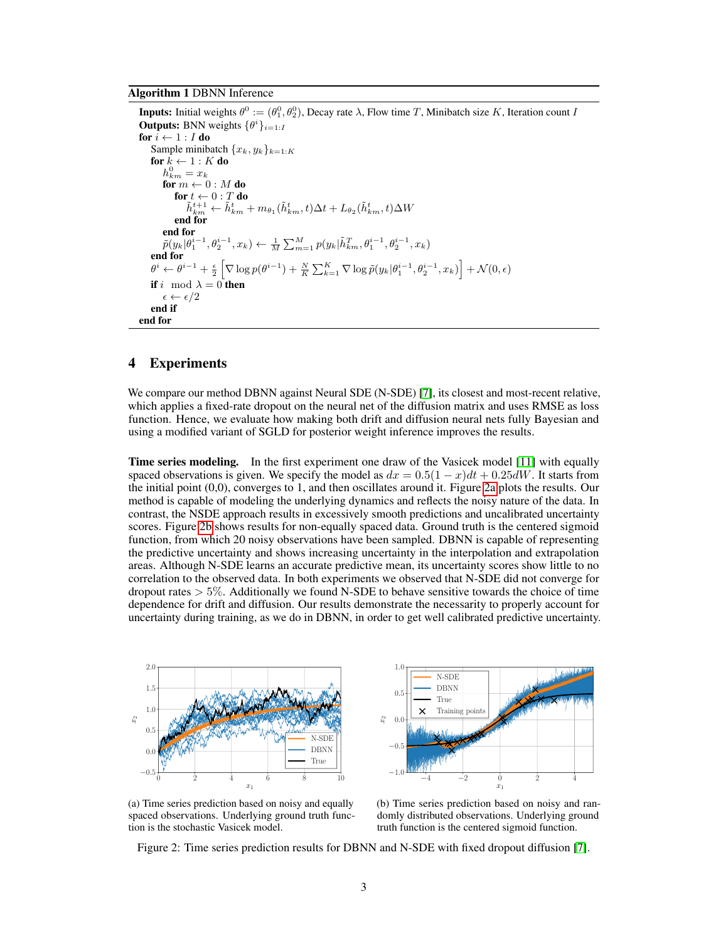#### <span id="page-2-0"></span>Algorithm 1 DBNN Inference

**Inputs:** Initial weights  $\theta^0 := (\theta_1^0, \theta_2^0)$ , Decay rate  $\lambda$ , Flow time T, Minibatch size K, Iteration count I **Outputs:** BNN weights  $\{\theta^i\}_{i=1:I}$ for  $i \leftarrow 1 : I$  do Sample minibatch  ${x_k, y_k}_{k=1:K}$ for  $k \leftarrow 1 : K$  do  $h_{km}^0 = x_k$ for  $m \leftarrow 0 : M$  do  $\textbf{for}\;t\leftarrow 0:T\,\textbf{do}\ \tilde{h}^{t+1}_{km} \leftarrow \tilde{h}^{t}_{km}+m_{\theta_1}(\tilde{h}^{t}_{km},t)\Delta t+L_{\theta_2}(\tilde{h}^{t}_{km},t)\Delta W$ end for end for  $\tilde{p}(y_k|\theta_1^{i-1},\theta_2^{i-1},x_k) \leftarrow \frac{1}{M}\sum_{m=1}^M p(y_k|\tilde{h}_{km}^T,\theta_1^{i-1},\theta_2^{i-1},x_k)$ end for  $\theta^i \leftarrow \theta^{i-1} + \frac{\epsilon}{2} \left[ \nabla \log p(\theta^{i-1}) + \frac{N}{K} \sum_{k=1}^K \nabla \log \tilde{p}(y_k | \theta_1^{i-1}, \theta_2^{i-1}, x_k) \right] + \mathcal{N}(0, \epsilon)$ if i mod  $\lambda = 0$  then  $\epsilon \leftarrow \epsilon/2$ end if end for

### 4 Experiments

We compare our method DBNN against Neural SDE (N-SDE) [\[7\]](#page-3-4), its closest and most-recent relative, which applies a fixed-rate dropout on the neural net of the diffusion matrix and uses RMSE as loss function. Hence, we evaluate how making both drift and diffusion neural nets fully Bayesian and using a modified variant of SGLD for posterior weight inference improves the results.

Time series modeling. In the first experiment one draw of the Vasicek model [\[11\]](#page-3-9) with equally spaced observations is given. We specify the model as  $dx = 0.5(1 - x)dt + 0.25dW$ . It starts from the initial point (0,0), converges to 1, and then oscillates around it. Figure [2a](#page-2-1) plots the results. Our method is capable of modeling the underlying dynamics and reflects the noisy nature of the data. In contrast, the NSDE approach results in excessively smooth predictions and uncalibrated uncertainty scores. Figure [2b](#page-2-2) shows results for non-equally spaced data. Ground truth is the centered sigmoid function, from which 20 noisy observations have been sampled. DBNN is capable of representing the predictive uncertainty and shows increasing uncertainty in the interpolation and extrapolation areas. Although N-SDE learns an accurate predictive mean, its uncertainty scores show little to no correlation to the observed data. In both experiments we observed that N-SDE did not converge for dropout rates  $> 5\%$ . Additionally we found N-SDE to behave sensitive towards the choice of time dependence for drift and diffusion. Our results demonstrate the necessarity to properly account for uncertainty during training, as we do in DBNN, in order to get well calibrated predictive uncertainty.

<span id="page-2-1"></span>



(a) Time series prediction based on noisy and equally spaced observations. Underlying ground truth function is the stochastic Vasicek model.

<span id="page-2-2"></span>(b) Time series prediction based on noisy and randomly distributed observations. Underlying ground truth function is the centered sigmoid function.

Figure 2: Time series prediction results for DBNN and N-SDE with fixed dropout diffusion [\[7\]](#page-3-4).